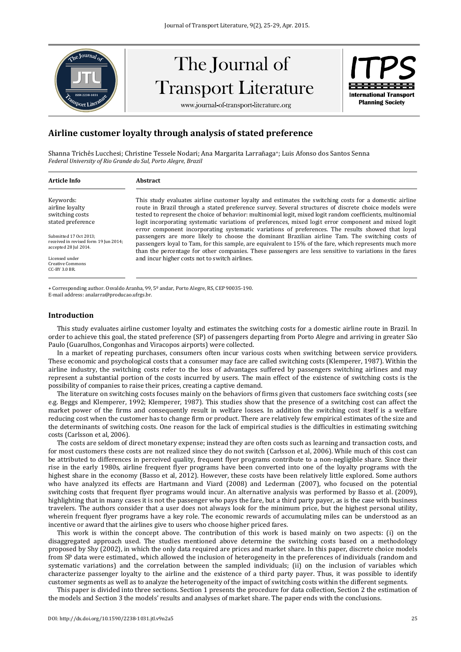

# The Journal of **Transport Literature**

www.journal-of-transport-literature.org



# **Airline customer loyalty through analysis of stated preference**

Shanna Trichês Lucchesi; Christine Tessele Nodari; Ana Margarita Larrañaga+; Luis Afonso dos Santos Senna *Federal University of Rio Grande do Sul, Porto Alegre, Brazil*

| <b>Article Info</b>                                                                      | Abstract                                                                                                                                                                                                                                                                                                              |  |  |  |  |  |  |  |  |
|------------------------------------------------------------------------------------------|-----------------------------------------------------------------------------------------------------------------------------------------------------------------------------------------------------------------------------------------------------------------------------------------------------------------------|--|--|--|--|--|--|--|--|
| Keywords:                                                                                | This study evaluates airline customer loyalty and estimates the switching costs for a domestic airline                                                                                                                                                                                                                |  |  |  |  |  |  |  |  |
| airline lovalty                                                                          | route in Brazil through a stated preference survey. Several structures of discrete choice models were                                                                                                                                                                                                                 |  |  |  |  |  |  |  |  |
| switching costs                                                                          | tested to represent the choice of behavior: multinomial logit, mixed logit random coefficients, multinomial                                                                                                                                                                                                           |  |  |  |  |  |  |  |  |
| stated preference                                                                        | logit incorporating systematic variations of preferences, mixed logit error component and mixed logit<br>error component incorporating systematic variations of preferences. The results showed that loyal                                                                                                            |  |  |  |  |  |  |  |  |
| Submitted 17 Oct 2013:<br>received in revised form 19 Jun 2014;<br>accepted 28 Jul 2014. | passengers are more likely to choose the dominant Brazilian airline Tam. The switching costs of<br>passengers loyal to Tam, for this sample, are equivalent to 15% of the fare, which represents much more<br>than the percentage for other companies. These passengers are less sensitive to variations in the fares |  |  |  |  |  |  |  |  |
| Licensed under<br><b>Creative Commons</b><br>$CC-BY3.0$ BR.                              | and incur higher costs not to switch airlines.                                                                                                                                                                                                                                                                        |  |  |  |  |  |  |  |  |

+ Corresponding author. Osvaldo Aranha, 99, 5º andar, Porto Alegre, RS, CEP 90035-190. E-mail address: analarra@producao.ufrgs.br.

# **Introduction**

This study evaluates airline customer loyalty and estimates the switching costs for a domestic airline route in Brazil. In order to achieve this goal, the stated preference (SP) of passengers departing from Porto Alegre and arriving in greater São Paulo (Guarulhos, Congonhas and Viracopos airports) were collected.

In a market of repeating purchases, consumers often incur various costs when switching between service providers. These economic and psychological costs that a consumer may face are called switching costs (Klemperer, 1987). Within the airline industry, the switching costs refer to the loss of advantages suffered by passengers switching airlines and may represent a substantial portion of the costs incurred by users. The main effect of the existence of switching costs is the possibility of companies to raise their prices, creating a captive demand.

The literature on switching costs focuses mainly on the behaviors of firms given that customers face switching costs (see e.g. Beggs and Klemperer, 1992; Klemperer, 1987). This studies show that the presence of a switching cost can affect the market power of the firms and consequently result in welfare losses. In addition the switching cost itself is a welfare reducing cost when the customer has to change firm or product. There are relatively few empirical estimates of the size and the determinants of switching costs. One reason for the lack of empirical studies is the difficulties in estimating switching costs (Carlsson et al, 2006).

The costs are seldom of direct monetary expense; instead they are often costs such as learning and transaction costs, and for most customers these costs are not realized since they do not switch (Carlsson et al, 2006). While much of this cost can be attributed to differences in perceived quality, frequent flyer programs contribute to a non-negligible share. Since their rise in the early 1980s, airline frequent flyer programs have been converted into one of the loyalty programs with the highest share in the economy (Basso et al, 2012). However, these costs have been relatively little explored. Some authors who have analyzed its effects are Hartmann and Viard (2008) and Lederman (2007), who focused on the potential switching costs that frequent flyer programs would incur. An alternative analysis was performed by Basso et al. (2009), highlighting that in many cases it is not the passenger who pays the fare, but a third party payer, as is the case with business travelers. The authors consider that a user does not always look for the minimum price, but the highest personal utility, wherein frequent flyer programs have a key role. The economic rewards of accumulating miles can be understood as an incentive or award that the airlines give to users who choose higher priced fares.

This work is within the concept above. The contribution of this work is based mainly on two aspects: (i) on the disaggregated approach used. The studies mentioned above determine the switching costs based on a methodology proposed by Shy (2002), in which the only data required are prices and market share. In this paper, discrete choice models from SP data were estimated., which allowed the inclusion of heterogeneity in the preferences of individuals (random and systematic variations) and the correlation between the sampled individuals; (ii) on the inclusion of variables which characterize passenger loyalty to the airline and the existence of a third party payer. Thus, it was possible to identify customer segments as well as to analyze the heterogeneity of the impact of switching costs within the different segments.

This paper is divided into three sections. Section 1 presents the procedure for data collection, Section 2 the estimation of the models and Section 3 the models' results and analyses of market share. The paper ends with the conclusions.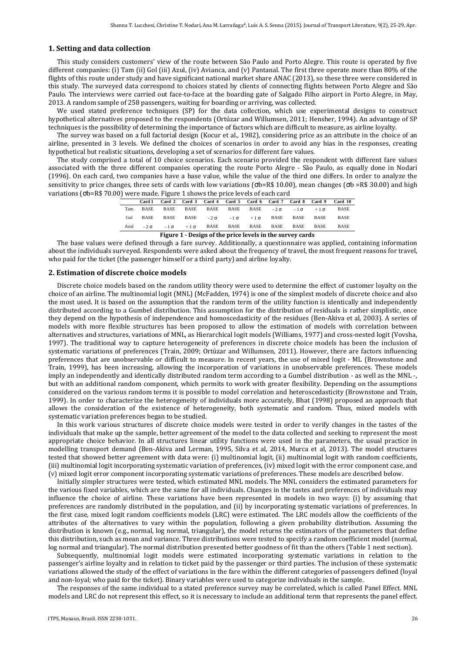## **1. Setting and data collection**

This study considers customers' view of the route between São Paulo and Porto Alegre. This route is operated by five different companies: (i) Tam (ii) Gol (iii) Azul, (iv) Avianca, and (v) Pantanal. The first three operate more than 80% of the flights of this route under study and have significant national market share ANAC (2013), so these three were considered in this study. The surveyed data correspond to choices stated by clients of connecting flights between Porto Alegre and São Paulo. The interviews were carried out face-to-face at the boarding gate of Salgado Filho airport in Porto Alegre, in May, 2013. A random sample of 258 passengers, waiting for boarding or arriving, was collected.

We used stated preference techniques (SP) for the data collection, which use experimental designs to construct hypothetical alternatives proposed to the respondents (Ortúzar and Willumsen, 2011; Hensher, 1994). An advantage of SP techniques is the possibility of determining the importance of factors which are difficult to measure, as airline loyalty.

The survey was based on a full factorial design (Kocur et al., 1982), considering price as an attribute in the choice of an airline, presented in 3 levels. We defined the choices of scenarios in order to avoid any bias in the responses, creating hypothetical but realistic situations, developing a set of scenarios for different fare values.

The study comprised a total of 10 choice scenarios. Each scenario provided the respondent with different fare values associated with the three different companies operating the route Porto Alegre - São Paulo, as equally done in Nodari (1996). On each card, two companies have a base value, while the value of the third one differs. In order to analyze the sensitivity to price changes, three sets of cards with low variations (σb=R\$ 10.00), mean changes (σb =R\$ 30.00) and high variations (σb=R\$ 70.00) were made. Figure 1 shows the price levels of each card

|      |  |                                                                |  |  |                                                                     | Card 1 Card 2 Card 3 Card 4 Card 5 Card 6 Card 7 Card 8 Card 9 Card 10 |
|------|--|----------------------------------------------------------------|--|--|---------------------------------------------------------------------|------------------------------------------------------------------------|
| Tam  |  |                                                                |  |  | BASE BASE BASE BASE BASE BASE $-2\sigma$ $-1\sigma$ $+1\sigma$ BASE |                                                                        |
| Gol  |  | BASE BASE BASE $-2\sigma$ $-1\sigma$ $+1\sigma$ BASE BASE BASE |  |  |                                                                     | <b>BASE</b>                                                            |
| Azul |  | $-2\sigma$ $-1\sigma$ $+1\sigma$ BASE BASE BASE BASE BASE      |  |  | BASE                                                                | <b>BASE</b>                                                            |
|      |  |                                                                |  |  |                                                                     |                                                                        |

**Figure 1 - Design of the price levels in the survey cards** 

The base values were defined through a fare survey. Additionally, a questionnaire was applied, containing information about the individuals surveyed. Respondents were asked about the frequency of travel, the most frequent reasons for travel, who paid for the ticket (the passenger himself or a third party) and airline loyalty.

#### **2. Estimation of discrete choice models**

Discrete choice models based on the random utility theory were used to determine the effect of customer loyalty on the choice of an airline. The multinomial logit (MNL) (McFadden, 1974) is one of the simplest models of discrete choice and also the most used. It is based on the assumption that the random term of the utility function is identically and independently distributed according to a Gumbel distribution. This assumption for the distribution of residuals is rather simplistic, once they depend on the hypothesis of independence and homoscedasticity of the residues (Ben-Akiva et al, 2003). A series of models with more flexible structures has been proposed to allow the estimation of models with correlation between alternatives and structures, variations of MNL, as Hierarchical logit models (Williams, 1977) and cross-nested logit (Vovsha, 1997). The traditional way to capture heterogeneity of preferences in discrete choice models has been the inclusion of systematic variations of preferences (Train, 2009; Ortúzar and Willumsen, 2011). However, there are factors influencing preferences that are unobservable or difficult to measure. In recent years, the use of mixed logit - ML (Brownstone and Train, 1999), has been increasing, allowing the incorporation of variations in unobservable preferences. These models imply an independently and identically distributed random term according to a Gumbel distribution - as well as the MNL -, but with an additional random component, which permits to work with greater flexibility. Depending on the assumptions considered on the various random terms it is possible to model correlation and heteroscedasticity (Brownstone and Train, 1999). In order to characterize the heterogeneity of individuals more accurately, Bhat (1998) proposed an approach that allows the consideration of the existence of heterogeneity, both systematic and random. Thus, mixed models with systematic variation preferences began to be studied.

In this work various structures of discrete choice models were tested in order to verify changes in the tastes of the individuals that make up the sample, better agreement of the model to the data collected and seeking to represent the most appropriate choice behavior. In all structures linear utility functions were used in the parameters, the usual practice in modelling transport demand (Ben-Akiva and Lerman, 1995, Silva et al, 2014, Murca et al, 2013). The model structures tested that showed better agreement with data were: (i) multinomial logit, (ii) multinomial logit with random coefficients, (iii) multinomial logit incorporating systematic variation of preferences, (iv) mixed logit with the error component case, and (v) mixed logit error component incorporating systematic variations of preferences. These models are described below.

Initially simpler structures were tested, which estimated MNL models. The MNL considers the estimated parameters for the various fixed variables, which are the same for all individuals. Changes in the tastes and preferences of individuals may influence the choice of airline. These variations have been represented in models in two ways: (i) by assuming that preferences are randomly distributed in the population, and (ii) by incorporating systematic variations of preferences. In the first case, mixed logit random coefficients models (LRC) were estimated. The LRC models allow the coefficients of the attributes of the alternatives to vary within the population, following a given probability distribution. Assuming the distribution is known (e.g., normal, log normal, triangular), the model returns the estimators of the parameters that define this distribution, such as mean and variance. Three distributions were tested to specify a random coefficient model (normal, log normal and triangular). The normal distribution presented better goodness of fit than the others (Table 1 next section).

Subsequently, multinomial logit models were estimated incorporating systematic variations in relation to the passenger's airline loyalty and in relation to ticket paid by the passenger or third parties. The inclusion of these systematic variations allowed the study of the effect of variations in the fare within the different categories of passengers defined (loyal and non-loyal; who paid for the ticket). Binary variables were used to categorize individuals in the sample.

The responses of the same individual to a stated preference survey may be correlated, which is called Panel Effect. MNL models and LRC do not represent this effect, so it is necessary to include an additional term that represents the panel effect.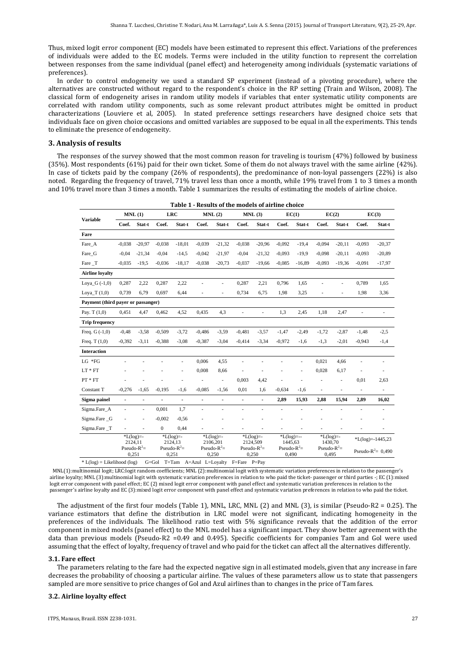Thus, mixed logit error component (EC) models have been estimated to represent this effect. Variations of the preferences of individuals were added to the EC models. Terms were included in the utility function to represent the correlation between responses from the same individual (panel effect) and heterogeneity among individuals (systematic variations of preferences).

In order to control endogeneity we used a standard SP experiment (instead of a pivoting procedure), where the alternatives are constructed without regard to the respondent's choice in the RP setting (Train and Wilson, 2008). The classical form of endogeneity arises in random utility models if variables that enter systematic utility components are correlated with random utility components, such as some relevant product attributes might be omitted in product characterizations (Louviere et al, 2005). In stated preference settings researchers have designed choice sets that individuals face on given choice occasions and omitted variables are supposed to be equal in all the experiments. This tends to eliminate the presence of endogeneity.

## **3. Analysis of results**

The responses of the survey showed that the most common reason for traveling is tourism (47%) followed by business (35%). Most respondents (61%) paid for their own ticket. Some of them do not always travel with the same airline (42%). In case of tickets paid by the company (26% of respondents), the predominance of non-loyal passengers (22%) is also noted. Regarding the frequency of travel, 71% travel less than once a month, while 19% travel from 1 to 3 times a month and 10% travel more than 3 times a month. Table 1 summarizes the results of estimating the models of airline choice.

| Table 1 - Results of the models of airline choice |                          |                          |                          |                |                                     |          |                          |                   |                          |          |                          |          |                          |                   |
|---------------------------------------------------|--------------------------|--------------------------|--------------------------|----------------|-------------------------------------|----------|--------------------------|-------------------|--------------------------|----------|--------------------------|----------|--------------------------|-------------------|
|                                                   | MNL(1)                   |                          | <b>LRC</b>               |                | MNL(2)                              |          | MNL(3)                   |                   | EC(1)                    |          | EC(2)                    |          | EC(3)                    |                   |
| <b>Variable</b>                                   | Coef.                    | Stat-t                   | Coef.                    | Stat-t         | Coef.                               | Stat-t   | Coef.                    | Stat <sub>t</sub> | Coef.                    | Stat-t   | Coef.                    | Stat-t   | Coef.                    | Stat <sub>t</sub> |
| Fare                                              |                          |                          |                          |                |                                     |          |                          |                   |                          |          |                          |          |                          |                   |
| Fare A                                            | $-0.038$                 | $-20.97$                 | $-0.038$                 | $-18,01$       | $-0.039$                            | $-21,32$ | $-0.038$                 | $-20.96$          | $-0,092$                 | $-19,4$  | $-0,094$                 | $-20,11$ | $-0.093$                 | $-20,37$          |
| Fare G                                            | $-0.04$                  | $-21,34$                 | $-0.04$                  | $-14,5$        | $-0.042$                            | $-21,97$ | $-0.04$                  | $-21,32$          | $-0.093$                 | $-19.9$  | $-0.098$                 | $-20,11$ | $-0.093$                 | $-20,89$          |
| Fare_T                                            | $-0.035$                 | $-19.5$                  | $-0.036$                 | $-18,17$       | $-0.038$                            | $-20,73$ | $-0.037$                 | $-19,66$          | $-0.085$                 | $-16,89$ | $-0,093$                 | $-19,36$ | $-0.091$                 | $-17,97$          |
| <b>Airline</b> loyalty                            |                          |                          |                          |                |                                     |          |                          |                   |                          |          |                          |          |                          |                   |
| Loya_ $G$ (-1,0)                                  | 0,287                    | 2,22                     | 0,287                    | 2,22           |                                     |          | 0,287                    | 2,21              | 0,796                    | 1,65     |                          |          | 0.789                    | 1,65              |
| Loya_T $(1,0)$                                    | 0,739                    | 6,79                     | 0,697                    | 6,44           |                                     | ÷        | 0,734                    | 6,75              | 1,98                     | 3,25     |                          |          | 1,98                     | 3,36              |
| Payment (third payer or passanger)                |                          |                          |                          |                |                                     |          |                          |                   |                          |          |                          |          |                          |                   |
| Pay. $T(1,0)$                                     | 0,451                    | 4,47                     | 0,462                    | 4,52           | 0,435                               | 4,3      | ä,                       | ÷,                | 1,3                      | 2,45     | 1,18                     | 2,47     | $\overline{\phantom{a}}$ | ×,                |
| <b>Trip frequency</b>                             |                          |                          |                          |                |                                     |          |                          |                   |                          |          |                          |          |                          |                   |
| Freq. $G(-1,0)$                                   | $-0,48$                  | $-3,58$                  | $-0,509$                 | $-3,72$        | $-0,486$                            | $-3,59$  | $-0.481$                 | $-3,57$           | $-1,47$                  | $-2,49$  | $-1,72$                  | $-2,87$  | $-1,48$                  | $-2,5$            |
| Freq. $T(1,0)$                                    | $-0,392$                 | $-3,11$                  | $-0.388$                 | $-3,08$        | $-0.387$                            | $-3.04$  | $-0.414$                 | $-3,34$           | $-0.972$                 | $-1.6$   | $-1,3$                   | $-2,01$  | $-0.943$                 | $-1,4$            |
| <b>Interaction</b>                                |                          |                          |                          |                |                                     |          |                          |                   |                          |          |                          |          |                          |                   |
| LG *FG                                            |                          |                          |                          | ٠              | 0,006                               | 4,55     |                          |                   |                          |          | 0,021                    | 4,66     |                          |                   |
| $LT * FT$                                         |                          |                          |                          |                | 0,008                               | 8,66     |                          |                   |                          |          | 0,028                    | 6,17     |                          |                   |
| $PT * FT$                                         |                          |                          |                          |                |                                     | ä,       | 0.003                    | 4,42              |                          |          |                          | ä,       | 0.01                     | 2,63              |
| Constant T                                        | $-0.276$                 | $-1.65$                  | $-0.195$                 | $-1.6$         | $-0.085$                            | $-1,56$  | 0.01                     | 1.6               | $-0.634$                 | $-1.6$   | ä,                       | ٠        | ä,                       | ä,                |
| Sigma painel                                      | $\blacksquare$           | $\overline{a}$           | $\overline{a}$           | $\overline{a}$ | $\overline{a}$                      | ä,       | L.                       | ÷,                | 2,89                     | 15,93    | 2,88                     | 15,94    | 2,89                     | 16,02             |
| Sigma.Fare A                                      |                          | ä,                       | 0,001                    | 1,7            |                                     |          |                          |                   |                          |          |                          |          |                          |                   |
| Sigma.Fare G                                      |                          |                          | $-0,002$                 | $-0,56$        |                                     |          |                          |                   |                          |          |                          |          |                          |                   |
| Sigma.Fare_T                                      |                          | $\overline{\phantom{m}}$ | $\mathbf{0}$             | 0,44           |                                     | ä,       |                          | ä,                |                          | ÷.       |                          |          |                          |                   |
|                                                   | $*L(log)=-$<br>2124.11   |                          | $*L(log)=-$<br>2124,13   |                | $*L(log)=-$<br>2106.201             |          | $*L(log)=-$<br>2124,509  |                   | $*L(log) = -$<br>1445.63 |          | $*L(log)=-$<br>1430,70   |          | $L(log) = -1445,23$      |                   |
|                                                   | Pseudo- $R^2$ =<br>0,251 |                          | Pseudo- $R^2$ =<br>0,251 |                | Pseudo- $R^2$ =<br>0,250            |          | Pseudo- $R^2$ =<br>0,250 |                   | Pseudo- $R^2$ =<br>0,490 |          | Pseudo- $R^2$ =<br>0,495 |          | Pseudo- $R^2$ = 0,490    |                   |
| $L(\log) = Likelihood(\log)$                      |                          |                          | $G = Gol$                |                | T=Tam A=Azul L=Loyalty F=Fare P=Pay |          |                          |                   |                          |          |                          |          |                          |                   |

MNL(1):multinomial logit; LRC:logit random coefficients; MNL (2):multinomial logit with systematic variation preferences in relation to the passenger's airline loyalty; MNL (3):multinomial logit with systematic variation preferences in relation to who paid the ticket- passenger or third parties -; EC (1):mixed

logit error component with panel effect; EC (2) mixed logit error component with panel effect and systematic variation preferences in relation to the passenger's airline loyalty and EC (3):mixed logit error component with panel effect and systematic variation preferences in relation to who paid the ticket.

The adjustment of the first four models (Table 1), MNL, LRC, MNL (2) and MNL (3), is similar (Pseudo-R2 = 0.25). The variance estimators that define the distribution in LRC model were not significant, indicating homogeneity in the preferences of the individuals. The likelihood ratio test with 5% significance reveals that the addition of the error component in mixed models (panel effect) to the MNL model has a significant impact. They show better agreement with the data than previous models (Pseudo-R2 =0.49 and 0.495). Specific coefficients for companies Tam and Gol were used assuming that the effect of loyalty, frequency of travel and who paid for the ticket can affect all the alternatives differently.

#### **3.1. Fare effect**

The parameters relating to the fare had the expected negative sign in all estimated models, given that any increase in fare decreases the probability of choosing a particular airline. The values of these parameters allow us to state that passengers sampled are more sensitive to price changes of Gol and Azul airlines than to changes in the price of Tam fares.

#### **3.2. Airline loyalty effect**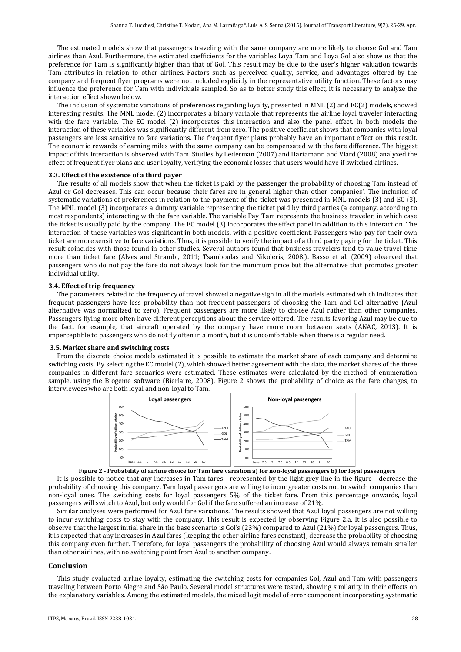The estimated models show that passengers traveling with the same company are more likely to choose Gol and Tam airlines than Azul. Furthermore, the estimated coefficients for the variables Loya Tam and Loya Gol also show us that the preference for Tam is significantly higher than that of Gol. This result may be due to the user's higher valuation towards Tam attributes in relation to other airlines. Factors such as perceived quality, service, and advantages offered by the company and frequent flyer programs were not included explicitly in the representative utility function. These factors may influence the preference for Tam with individuals sampled. So as to better study this effect, it is necessary to analyze the interaction effect shown below.

The inclusion of systematic variations of preferences regarding loyalty, presented in MNL (2) and EC(2) models, showed interesting results. The MNL model (2) incorporates a binary variable that represents the airline loyal traveler interacting with the fare variable. The EC model (2) incorporates this interaction and also the panel effect. In both models the interaction of these variables was significantly different from zero. The positive coefficient shows that companies with loyal passengers are less sensitive to fare variations. The frequent flyer plans probably have an important effect on this result. The economic rewards of earning miles with the same company can be compensated with the fare difference. The biggest impact of this interaction is observed with Tam. Studies by Lederman (2007) and Hartamann and Viard (2008) analyzed the effect of frequent flyer plans and user loyalty, verifying the economic losses that users would have if switched airlines.

## **3.3. Effect of the existence of a third payer**

The results of all models show that when the ticket is paid by the passenger the probability of choosing Tam instead of Azul or Gol decreases. This can occur because their fares are in general higher than other companies'. The inclusion of systematic variations of preferences in relation to the payment of the ticket was presented in MNL models (3) and EC (3). The MNL model (3) incorporates a dummy variable representing the ticket paid by third parties (a company, according to most respondents) interacting with the fare variable. The variable Pay\_Tam represents the business traveler, in which case the ticket is usually paid by the company. The EC model (3) incorporates the effect panel in addition to this interaction. The interaction of these variables was significant in both models, with a positive coefficient. Passengers who pay for their own ticket are more sensitive to fare variations. Thus, it is possible to verify the impact of a third party paying for the ticket. This result coincides with those found in other studies. Several authors found that business travelers tend to value travel time more than ticket fare (Alves and Strambi, 2011; Tsamboulas and Nikoleris, 2008.). Basso et al. (2009) observed that passengers who do not pay the fare do not always look for the minimum price but the alternative that promotes greater individual utility.

#### **3.4. Effect of trip frequency**

The parameters related to the frequency of travel showed a negative sign in all the models estimated which indicates that frequent passengers have less probability than not frequent passengers of choosing the Tam and Gol alternative (Azul alternative was normalized to zero). Frequent passengers are more likely to choose Azul rather than other companies. Passengers flying more often have different perceptions about the service offered. The results favoring Azul may be due to the fact, for example, that aircraft operated by the company have more room between seats (ANAC, 2013). It is imperceptible to passengers who do not fly often in a month, but it is uncomfortable when there is a regular need.

#### **3.5. Market share and switching costs**

From the discrete choice models estimated it is possible to estimate the market share of each company and determine switching costs. By selecting the EC model (2), which showed better agreement with the data, the market shares of the three companies in different fare scenarios were estimated. These estimates were calculated by the method of enumeration sample, using the Biogeme software (Bierlaire, 2008). Figure 2 shows the probability of choice as the fare changes, to interviewees who are both loyal and non-loyal to Tam.



**Figure 2 - Probability of airline choice for Tam fare variation a) for non-loyal passengers b) for loyal passengers** 

It is possible to notice that any increases in Tam fares - represented by the light grey line in the figure - decrease the probability of choosing this company. Tam loyal passengers are willing to incur greater costs not to switch companies than non-loyal ones. The switching costs for loyal passengers 5% of the ticket fare. From this percentage onwards, loyal passengers will switch to Azul, but only would for Gol if the fare suffered an increase of 21%.

Similar analyses were performed for Azul fare variations. The results showed that Azul loyal passengers are not willing to incur switching costs to stay with the company. This result is expected by observing Figure 2.a. It is also possible to observe that the largest initial share in the base scenario is Gol's (23%) compared to Azul (21%) for loyal passengers. Thus, it is expected that any increases in Azul fares (keeping the other airline fares constant), decrease the probability of choosing this company even further. Therefore, for loyal passengers the probability of choosing Azul would always remain smaller than other airlines, with no switching point from Azul to another company.

#### **Conclusion**

This study evaluated airline loyalty, estimating the switching costs for companies Gol, Azul and Tam with passengers traveling between Porto Alegre and São Paulo. Several model structures were tested, showing similarity in their effects on the explanatory variables. Among the estimated models, the mixed logit model of error component incorporating systematic